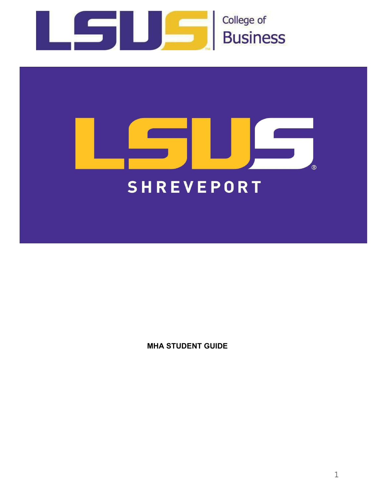



**MHA STUDENT GUIDE**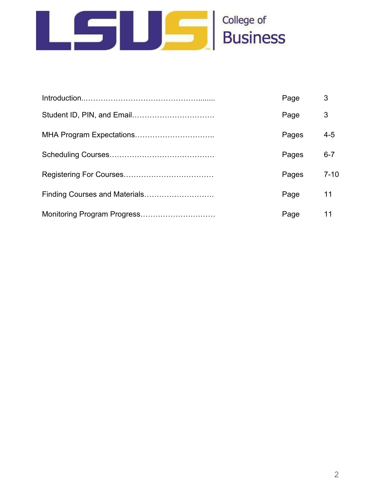

|                               | Page  | 3        |
|-------------------------------|-------|----------|
|                               | Page  | 3        |
|                               | Pages | $4 - 5$  |
|                               | Pages | $6 - 7$  |
|                               | Pages | $7 - 10$ |
| Finding Courses and Materials | Page  | 11       |
| Monitoring Program Progress   | Page  | 11       |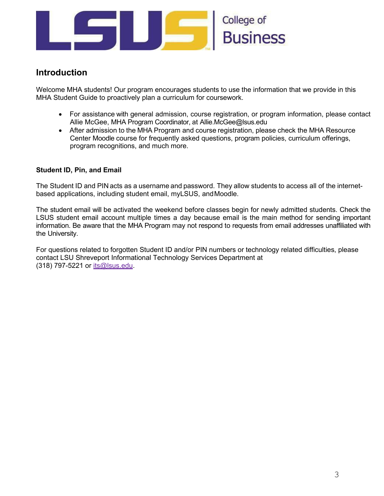

# **Introduction**

Welcome MHA students! Our program encourages students to use the information that we provide in this MHA Student Guide to proactively plan a curriculum for coursework.

- For assistance with general admission, course registration, or program information, please contact Allie McGee, MHA Program Coordinator, at [Allie.McGee@lsus.edu](mailto:Allie.McGee@lsus.edu)
- After admission to the MHA Program and course registration, please check the MHA Resource Center Moodle course for frequently asked questions, program policies, curriculum offerings, program recognitions, and much more.

## **Student ID, Pin, and Email**

The Student ID and PIN acts as a username and password. They allow students to access all of the internetbased applications, including student email, myLSUS, andMoodle.

The student email will be activated the weekend before classes begin for newly admitted students. Check the LSUS student email account multiple times a day because email is the main method for sending important information. Be aware that the MHA Program may not respond to requests from email addresses unaffiliated with the University.

For questions related to forgotten Student ID and/or PIN numbers or technology related difficulties, please contact LSU Shreveport Informational Technology Services Department at (318) 797-5221 or [its@lsus.edu.](mailto:its@lsus.edu)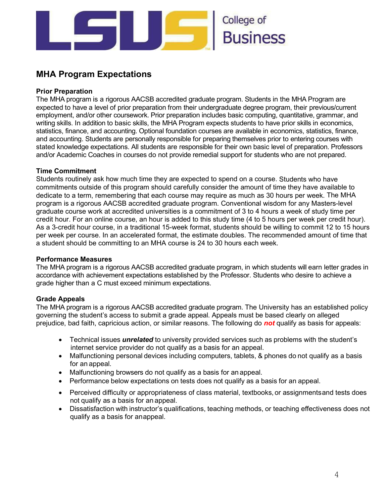

# **MHA Program Expectations**

# **Prior Preparation**

The MHA program is a rigorous AACSB accredited graduate program. Students in the MHA Program are expected to have a level of prior preparation from their undergraduate degree program, their previous/current employment, and/or other coursework. Prior preparation includes basic computing, quantitative, grammar, and writing skills. In addition to basic skills, the MHA Program expects students to have prior skills in economics, statistics, finance, and accounting. Optional foundation courses are available in economics, statistics, finance, and accounting. Students are personally responsible for preparing themselves prior to entering courses with stated knowledge expectations. All students are responsible for their own basic level of preparation. Professors and/or Academic Coaches in courses do not provide remedial support for students who are not prepared.

## **Time Commitment**

Students routinely ask how much time they are expected to spend on a course. Students who have commitments outside of this program should carefully consider the amount of time they have available to dedicate to a term, remembering that each course may require as much as 30 hours per week. The MHA program is a rigorous AACSB accredited graduate program. Conventional wisdom for any Masters-level graduate course work at accredited universities is a commitment of 3 to 4 hours a week of study time per credit hour. For an online course, an hour is added to this study time (4 to 5 hours per week per credit hour). As a 3-credit hour course, in a traditional 15-week format, students should be willing to commit 12 to 15 hours per week per course. In an accelerated format, the estimate doubles. The recommended amount of time that a student should be committing to an MHA course is 24 to 30 hours each week.

#### **Performance Measures**

The MHA program is a rigorous AACSB accredited graduate program, in which students will earn letter grades in accordance with achievement expectations established by the Professor. Students who desire to achieve a grade higher than a C must exceed minimum expectations.

## **Grade Appeals**

The MHA program is a rigorous AACSB accredited graduate program. The University has an established policy governing the student's access to submit a grade appeal. Appeals must be based clearly on alleged prejudice, bad faith, capricious action, or similar reasons. The following do *not* qualify as basis for appeals:

- Technical issues *unrelated* to university provided services such as problems with the student's internet service provider do not qualify as a basis for an appeal.
- Malfunctioning personal devices including computers, tablets, & phones do not qualify as a basis for an appeal.
- Malfunctioning browsers do not qualify as a basis for an appeal.
- Performance below expectations on tests does not qualify as a basis for an appeal.
- Perceived difficulty or appropriateness of class material, textbooks, or assignmentsand tests does not qualify as a basis for an appeal.
- Dissatisfaction with instructor's qualifications, teaching methods, or teaching effectiveness does not qualify as a basis for anappeal.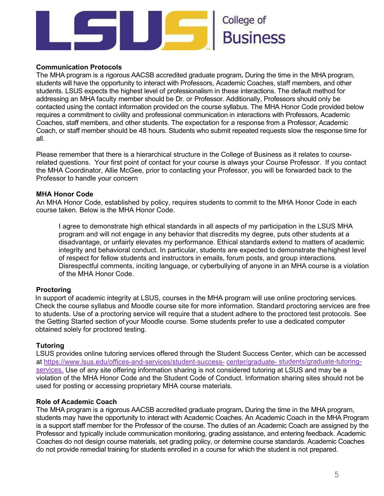

#### **Communication Protocols**

The MHA program is a rigorous AACSB accredited graduate program**.** During the time in the MHA program, students will have the opportunity to interact with Professors, Academic Coaches, staff members, and other students. LSUS expects the highest level of professionalism in these interactions. The default method for addressing an MHA faculty member should be Dr. or Professor. Additionally, Professors should only be contacted using the contact information provided on the course syllabus. The MHA Honor Code provided below requires a commitment to civility and professional communication in interactions with Professors, Academic Coaches, staff members, and other students. The expectation for a response from a Professor, Academic Coach, or staff member should be 48 hours. Students who submit repeated requests slow the response time for all.

Please remember that there is a hierarchical structure in the College of Business as it relates to courserelated questions. Your first point of contact for your course is always your Course Professor. If you contact the MHA Coordinator, Allie McGee, prior to contacting your Professor, you will be forwarded back to the Professor to handle your concern

#### **MHA Honor Code**

An MHA Honor Code, established by policy, requires students to commit to the MHA Honor Code in each course taken. Below is the MHA Honor Code.

I agree to demonstrate high ethical standards in all aspects of my participation in the LSUS MHA program and will not engage in any behavior that discredits my degree, puts other students at a disadvantage, or unfairly elevates my performance. Ethical standards extend to matters of academic integrity and behavioral conduct. In particular, students are expected to demonstrate thehighest level of respect for fellow students and instructors in emails, forum posts, and group interactions. Disrespectful comments, inciting language, or cyberbullying of anyone in an MHA course is a violation of the MHA Honor Code.

#### **Proctoring**

In support of academic integrity at LSUS, courses in the MHA program will use online proctoring services. Check the course syllabus and Moodle course site for more information. Standard proctoring services are free to students. Use of a proctoring service will require that a student adhere to the proctored test protocols. See the Getting Started section of your Moodle course. Some students prefer to use a dedicated computer obtained solely for proctored testing.

#### **Tutoring**

LSUS provides online tutoring services offered through the Student Success Center, which can be accessed at [https://www.lsus.edu/offices-and-services/student-success-](https://www.lsus.edu/offices-and-services/student-success-center/graduate-students/graduate-tutoring-services) [center/graduate-](https://www.lsus.edu/offices-and-services/student-success-center/graduate-students/graduate-tutoring-services) [students/graduate-tutoring](https://www.lsus.edu/offices-and-services/student-success-center/graduate-students/graduate-tutoring-services)[services.](https://www.lsus.edu/offices-and-services/student-success-center/graduate-students/graduate-tutoring-services) Use of any site offering information sharing is not considered tutoring at LSUS and may be a violation of the MHA Honor Code and the Student Code of Conduct. Information sharing sites should not be used for posting or accessing proprietary MHA course materials.

#### **Role of Academic Coach**

The MHA program is a rigorous AACSB accredited graduate program**.** During the time in the MHA program, students may have the opportunity to interact with Academic Coaches. An Academic Coach in the MHA Program is a support staff member for the Professor of the course. The duties of an Academic Coach are assigned by the Professor and typically include communication monitoring, grading assistance, and entering feedback. Academic Coaches do not design course materials, set grading policy, or determine course standards. Academic Coaches do not provide remedial training for students enrolled in a course for which the student is not prepared.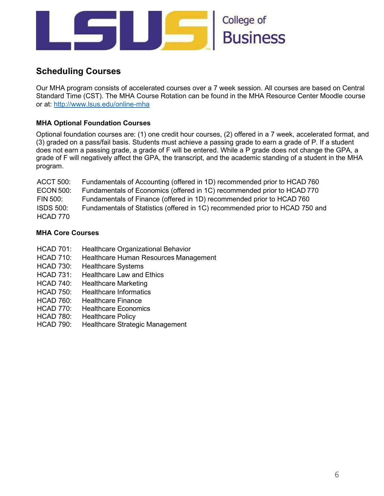

# **Scheduling Courses**

Our MHA program consists of accelerated courses over a 7 week session. All courses are based on Central Standard Time (CST). The MHA Course Rotation can be found in the MHA Resource Center Moodle course or at:<http://www.lsus.edu/online-mha>

# **MHA Optional Foundation Courses**

Optional foundation courses are: (1) one credit hour courses, (2) offered in a 7 week, accelerated format, and (3) graded on a pass/fail basis. Students must achieve a passing grade to earn a grade of P. If a student does not earn a passing grade, a grade of F will be entered. While a P grade does not change the GPA, a grade of F will negatively affect the GPA, the transcript, and the academic standing of a student in the MHA program.

| <b>ACCT 500:</b> | Fundamentals of Accounting (offered in 1D) recommended prior to HCAD 760     |
|------------------|------------------------------------------------------------------------------|
| <b>ECON 500:</b> | Fundamentals of Economics (offered in 1C) recommended prior to HCAD 770      |
| FIN 500:         | Fundamentals of Finance (offered in 1D) recommended prior to HCAD 760        |
| <b>ISDS 500:</b> | Fundamentals of Statistics (offered in 1C) recommended prior to HCAD 750 and |
| HCAD 770         |                                                                              |

## **MHA Core Courses**

- HCAD 701: Healthcare Organizational Behavior
- HCAD 710: Healthcare Human Resources Management
- HCAD 730: Healthcare Systems
- HCAD 731: Healthcare Law and Ethics
- HCAD 740: Healthcare Marketing
- HCAD 750: Healthcare Informatics
- HCAD 760: Healthcare Finance
- HCAD 770: Healthcare Economics
- HCAD 780: Healthcare Policy
- HCAD 790: Healthcare Strategic Management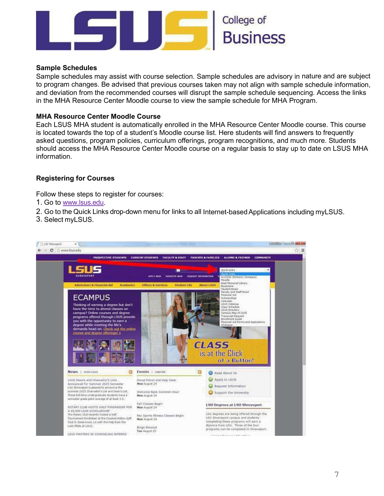

#### **Sample Schedules**

Sample schedules may assist with course selection. Sample schedules are advisory in nature and are subject to program changes. Be advised that previous courses taken may not align with sample schedule information, and deviation from the recommended courses will disrupt the sample schedule sequencing. Access the links in the MHA Resource Center Moodle course to view the sample schedule for MHA Program.

#### **MHA Resource Center Moodle Course**

Each LSUS MHA student is automatically enrolled in the MHA Resource Center Moodle course. This course is located towards the top of a student's Moodle course list. Here students will find answers to frequently asked questions, program policies, curriculum offerings, program recognitions, and much more. Students should access the MHA Resource Center Moodle course on a regular basis to stay up to date on LSUS MHA information.

#### **Registering for Courses**

Follow these steps to register for courses:

- 1. Go to [www.lsus.edu.](http://www.lsus.edu/)
- 2. Go to the Quick Links drop-down menu for links to all Internet-based Applications including myLSUS.
- 3. Select myLSUS.

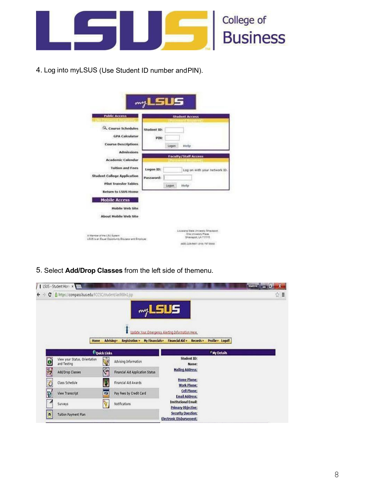

4. Log into myLSUS (Use Student ID number andPIN).

| Course Schedules<br><b>GPA</b> Calculator<br><b>Course Descriptions</b><br><b>Admissions</b><br><b>Academic Calendar</b><br><b>Tuition and Fees</b><br><b>Student College Application</b> | Student ID:<br>PIN:<br>Logan<br>Help<br><b>Faculty/Staff Access</b><br>Logon ID:<br>Log on with your network ID. |
|-------------------------------------------------------------------------------------------------------------------------------------------------------------------------------------------|------------------------------------------------------------------------------------------------------------------|
|                                                                                                                                                                                           |                                                                                                                  |
|                                                                                                                                                                                           |                                                                                                                  |
| <b>Pilot Transfer Tables</b>                                                                                                                                                              | Password:<br>Logon.<br>Help                                                                                      |
| <b>Return to LSUS Home</b><br><b>Mobile Access</b><br>Mobile Web Site                                                                                                                     |                                                                                                                  |
| About Mobile Web Site                                                                                                                                                                     |                                                                                                                  |

5. Select **Add/Drop Classes** from the left side of themenu.

|                   | I LSUS - Student Home X                              |                    |                                  |                                                             |                      |                         | $\mathbf{x}$<br>$M = 0$ |
|-------------------|------------------------------------------------------|--------------------|----------------------------------|-------------------------------------------------------------|----------------------|-------------------------|-------------------------|
| c<br>$\leftarrow$ | B https://compass.kus.edu/FCCSC/student/ias900n1.jsp |                    |                                  |                                                             |                      |                         | ☆■                      |
|                   |                                                      |                    |                                  | my LSUS<br>Update Your Emergency Alerting Information Here. |                      |                         |                         |
|                   | <b>Home</b>                                          | Advising r         | Registration +                   | My Financials v Financial Aid v Records v                   |                      | Profile v Logoff        |                         |
|                   |                                                      | <b>Couck Links</b> |                                  |                                                             |                      | <sup>F</sup> My Details |                         |
| $\mathbf{o}$      | View your Status, Orientation<br>and Testing         | N.                 | Advising Information             |                                                             | Student ID:<br>Name: |                         |                         |
|                   | Add/Drop Classes                                     | $\sqrt{2}$         | Financial Aid Application Status | <b>Mailing Address:</b>                                     |                      |                         |                         |
| NON               | Class Schedule                                       | Ď                  | Financial Aid Awards             | Home Phone:<br>Work Phone:                                  |                      |                         |                         |
|                   | View Transcript                                      | œ                  | Pay Fees by Credit Card          | <b>Email Address:</b>                                       | Cell Phone:          |                         |                         |
| ø                 | Surveys                                              | ø                  | Notifications                    | <b>Institutional Email:</b><br>Primary Objective:           |                      |                         |                         |
| $\bullet$         | <b>Tuition Payment Plan</b>                          |                    |                                  | Security Question:<br>Electronic Disbursement:              |                      |                         |                         |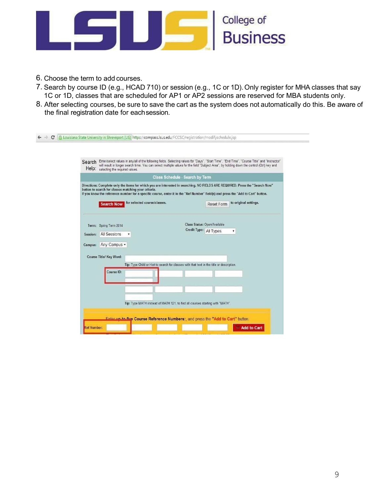

- 6. Choose the term to add courses.
- 7. Search by course ID (e.g., HCAD 710) or session (e.g., 1C or 1D).Only register for MHA classes that say 1C or 1D, classes that are scheduled for AP1 or AP2 sessions are reserved for MBA students only.
- 8. After selecting courses, be sure to save the cart as the system does not automatically do this. Be aware of the final registration date for eachsession.

| Enter/select values in any/all of the following fields. Selecting values for "Days", "Start Time", "End Time", "Course Title" and "Instructor"<br>Search<br>will result in longer search time. You can select multiple values for the field "Subject Area", by holding down the control (Ctrl) key and<br>Help: selecting the required values.                                                                                |
|-------------------------------------------------------------------------------------------------------------------------------------------------------------------------------------------------------------------------------------------------------------------------------------------------------------------------------------------------------------------------------------------------------------------------------|
| <b>Class Schedule - Search by Term</b>                                                                                                                                                                                                                                                                                                                                                                                        |
| Directions: Complete only the items for which you are interested in searching. NO FIELDS ARE REQUIRED. Press the "Search Now"<br>button to search for classes matching your criteria.<br>If you know the reference number for a specific course, enter it in the "Ref Number" field(s) and press the "Add to Cart" button.<br>for selected course/classes.<br>to original settings.<br><b>Search Now</b><br><b>Reset Form</b> |
| Class Status: Open/Available<br>Term: Spring Term 2014<br>Credit Type: All Types<br>۳<br><b>All Sessions</b><br>Session:<br>Any Campus<br>Campus:                                                                                                                                                                                                                                                                             |
| Course Title/ Key Word:<br>Tip: Type Child or Hist to search for classes with that text in the title or description.<br>Course ID:                                                                                                                                                                                                                                                                                            |
| Tip: Type MATH instead of MATH 121, to find all courses starting with "MATH".                                                                                                                                                                                                                                                                                                                                                 |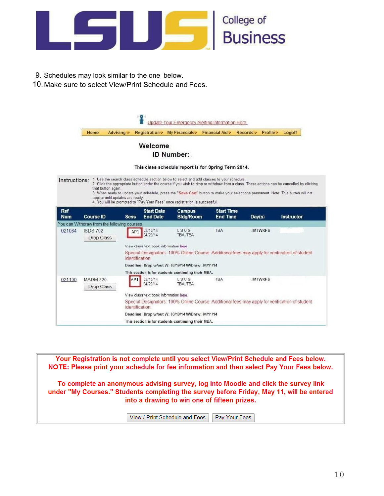

- 9. Schedules may look similar to the one below.
- 10. Make sure to select View/Print Schedule and Fees.

|               | Home             | Advising v                                  | Registration /                                                                                 | My Financials                                                               | Financial Aid v                                                                                                                           | Records v     | Profile -     | Logoff     |  |  |
|---------------|------------------|---------------------------------------------|------------------------------------------------------------------------------------------------|-----------------------------------------------------------------------------|-------------------------------------------------------------------------------------------------------------------------------------------|---------------|---------------|------------|--|--|
|               |                  |                                             | Welcome                                                                                        |                                                                             |                                                                                                                                           |               |               |            |  |  |
|               |                  |                                             |                                                                                                | ID Number:                                                                  |                                                                                                                                           |               |               |            |  |  |
|               |                  |                                             |                                                                                                |                                                                             |                                                                                                                                           |               |               |            |  |  |
|               |                  |                                             |                                                                                                |                                                                             | This class schedule report is for Spring Term 2014.                                                                                       |               |               |            |  |  |
| Instructions: |                  |                                             |                                                                                                |                                                                             | 1. Use the search class schedule section below to select and add classes to your schedule.                                                |               |               |            |  |  |
|               |                  | that button again.                          |                                                                                                |                                                                             | 2. Click the appropriate button under the course if you wish to drop or withdraw from a class. These actions can be cancelled by clicking |               |               |            |  |  |
|               |                  | appear until updates are ready.             |                                                                                                |                                                                             | 3. When ready to update your schedule, press the "Save Cart" button to make your selections permanent. Note: This button will not         |               |               |            |  |  |
|               |                  |                                             |                                                                                                | 4. You will be prompted to "Pay Your Fees" once registration is successful. |                                                                                                                                           |               |               |            |  |  |
| <b>Ref</b>    |                  |                                             | <b>Start Date</b>                                                                              | <b>Campus</b>                                                               | <b>Start Time</b>                                                                                                                         |               |               |            |  |  |
| <b>Num</b>    | <b>Course ID</b> | <b>Sess</b>                                 | <b>End Date</b>                                                                                | <b>Bldg/Room</b>                                                            | <b>End Time</b>                                                                                                                           | Day(s)        |               | Instructor |  |  |
|               |                  | You can Withdraw from the following courses |                                                                                                |                                                                             |                                                                                                                                           |               |               |            |  |  |
| 021084        | <b>ISDS 702</b>  |                                             | 03/10/14<br>AP <sub>1</sub><br>04/29/14                                                        | LSUS<br><b>TBA /TBA</b>                                                     | <b>TBA</b>                                                                                                                                |               | <b>MTWRFS</b> |            |  |  |
|               | Drop Class       |                                             |                                                                                                |                                                                             |                                                                                                                                           |               |               |            |  |  |
|               |                  |                                             | View class text book information here.                                                         |                                                                             |                                                                                                                                           |               |               |            |  |  |
|               |                  |                                             | identification.                                                                                |                                                                             | Special Designators: 100% Online Course. Additional fees may apply for verification of student                                            |               |               |            |  |  |
|               |                  |                                             |                                                                                                | Deadline: Drop w/out W: 03/19/14 W/Draw: 04/11/14                           |                                                                                                                                           |               |               |            |  |  |
|               |                  |                                             |                                                                                                | This section is for students continuing their MBA.                          |                                                                                                                                           |               |               |            |  |  |
| 021100        | <b>MADM 720</b>  |                                             | 03/10/14<br>AP <sub>1</sub>                                                                    | LSUS                                                                        | <b>TBA</b>                                                                                                                                | <b>MTWRFS</b> |               |            |  |  |
|               | Drop Class       |                                             | 04/29/14                                                                                       | <b>TBA /TBA</b>                                                             |                                                                                                                                           |               |               |            |  |  |
|               |                  |                                             | View class text book information here.                                                         |                                                                             |                                                                                                                                           |               |               |            |  |  |
|               |                  |                                             | Special Designators: 100% Online Course. Additional fees may apply for verification of student |                                                                             |                                                                                                                                           |               |               |            |  |  |
|               |                  |                                             | identification.                                                                                |                                                                             |                                                                                                                                           |               |               |            |  |  |
|               |                  |                                             | Deadline: Drop w/out W: 03/19/14 W/Draw: 04/11/14                                              |                                                                             |                                                                                                                                           |               |               |            |  |  |
|               |                  |                                             | This section is for students continuing their MBA.                                             |                                                                             |                                                                                                                                           |               |               |            |  |  |

Your Registration is not complete until you select View/Print Schedule and Fees below. NOTE: Please print your schedule for fee information and then select Pay Your Fees below. To complete an anonymous advising survey, log into Moodle and click the survey link under "My Courses." Students completing the survey before Friday, May 11, will be entered into a drawing to win one of fifteen prizes. View / Print Schedule and Fees Pay Your Fees